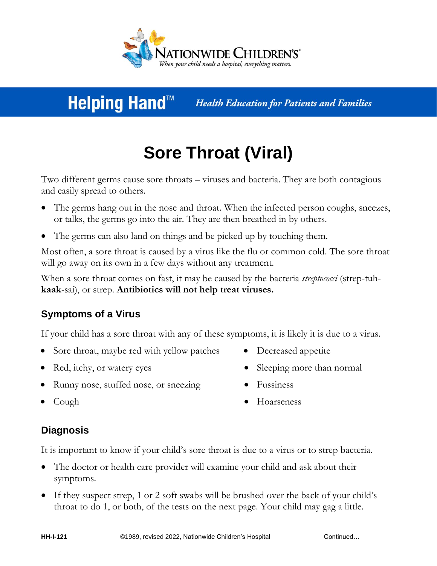

# **Helping Hand™**

**Health Education for Patients and Families** 

# **Sore Throat (Viral)**

Two different germs cause sore throats – viruses and bacteria. They are both contagious and easily spread to others.

- The germs hang out in the nose and throat. When the infected person coughs, sneezes, or talks, the germs go into the air. They are then breathed in by others.
- The germs can also land on things and be picked up by touching them.

Most often, a sore throat is caused by a virus like the flu or common cold. The sore throat will go away on its own in a few days without any treatment.

When a sore throat comes on fast, it may be caused by the bacteria *streptococci* (strep-tuh**kaak**-sai), or strep. **Antibiotics will not help treat viruses.**

## **Symptoms of a Virus**

If your child has a sore throat with any of these symptoms, it is likely it is due to a virus.

- Sore throat, maybe red with yellow patches Decreased appetite
- 
- Runny nose, stuffed nose, or sneezing Fussiness
- 
- Red, itchy, or watery eyes Sleeping more than normal
	-

- 
- Cough Hoarseness

### **Diagnosis**

It is important to know if your child's sore throat is due to a virus or to strep bacteria.

- The doctor or health care provider will examine your child and ask about their symptoms.
- If they suspect strep, 1 or 2 soft swabs will be brushed over the back of your child's throat to do 1, or both, of the tests on the next page. Your child may gag a little.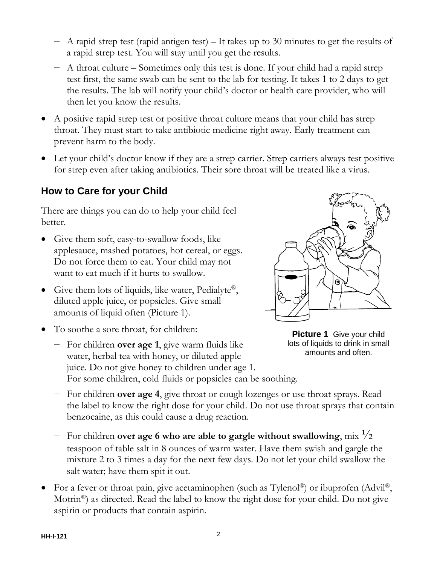- ― A rapid strep test (rapid antigen test) It takes up to 30 minutes to get the results of a rapid strep test. You will stay until you get the results.
- ― A throat culture Sometimes only this test is done. If your child had a rapid strep test first, the same swab can be sent to the lab for testing. It takes 1 to 2 days to get the results. The lab will notify your child's doctor or health care provider, who will then let you know the results.
- A positive rapid strep test or positive throat culture means that your child has strep throat. They must start to take antibiotic medicine right away. Early treatment can prevent harm to the body.
- Let your child's doctor know if they are a strep carrier. Strep carriers always test positive for strep even after taking antibiotics. Their sore throat will be treated like a virus.

### **How to Care for your Child**

There are things you can do to help your child feel better.

- Give them soft, easy-to-swallow foods, like applesauce, mashed potatoes, hot cereal, or eggs. Do not force them to eat. Your child may not want to eat much if it hurts to swallow.
- Give them lots of liquids, like water, Pedialyte®, diluted apple juice, or popsicles. Give small amounts of liquid often (Picture 1).
- To soothe a sore throat, for children:
	- ― For children **over age 1**, give warm fluids like water, herbal tea with honey, or diluted apple juice. Do not give honey to children under age 1. For some children, cold fluids or popsicles can be soothing.



**Picture 1** Give your child lots of liquids to drink in small amounts and often.

- ― For children **over age 4**, give throat or cough lozenges or use throat sprays. Read the label to know the right dose for your child. Do not use throat sprays that contain benzocaine, as this could cause a drug reaction.
- ― For children **over age 6 who are able to gargle without swallowing**, mix ½ teaspoon of table salt in 8 ounces of warm water. Have them swish and gargle the mixture 2 to 3 times a day for the next few days. Do not let your child swallow the salt water; have them spit it out.
- For a fever or throat pain, give acetaminophen (such as  $Tylenol^{\circledR}$ ) or ibuprofen (Advil<sup>®</sup>), Motrin<sup>®</sup>) as directed. Read the label to know the right dose for your child. Do not give aspirin or products that contain aspirin.